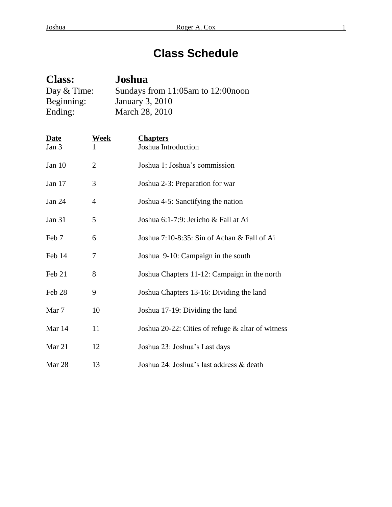# **Class Schedule**

| <b>Class:</b> | Joshua                             |
|---------------|------------------------------------|
| Day $&$ Time: | Sundays from 11:05am to 12:00 noon |
| Beginning:    | <b>January 3, 2010</b>             |
| Ending:       | March 28, 2010                     |

| <b>Date</b><br>Jan 3 | Week           | <b>Chapters</b><br>Joshua Introduction            |
|----------------------|----------------|---------------------------------------------------|
| Jan 10               | $\overline{2}$ | Joshua 1: Joshua's commission                     |
| Jan 17               | 3              | Joshua 2-3: Preparation for war                   |
| Jan 24               | 4              | Joshua 4-5: Sanctifying the nation                |
| <b>Jan 31</b>        | 5              | Joshua 6:1-7:9: Jericho & Fall at Ai              |
| Feb 7                | 6              | Joshua 7:10-8:35: Sin of Achan & Fall of Ai       |
| Feb 14               | 7              | Joshua 9-10: Campaign in the south                |
| Feb 21               | 8              | Joshua Chapters 11-12: Campaign in the north      |
| Feb 28               | 9              | Joshua Chapters 13-16: Dividing the land          |
| Mar 7                | 10             | Joshua 17-19: Dividing the land                   |
| Mar 14               | 11             | Joshua 20-22: Cities of refuge & altar of witness |
| Mar 21               | 12             | Joshua 23: Joshua's Last days                     |
| Mar 28               | 13             | Joshua 24: Joshua's last address & death          |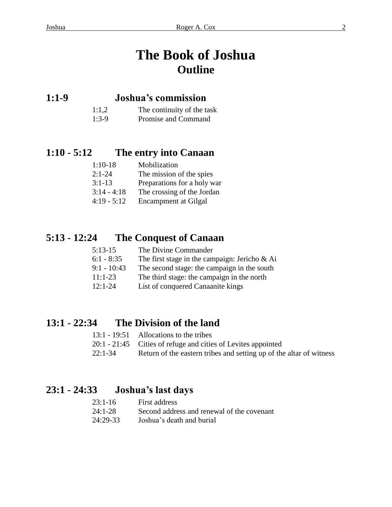# **The Book of Joshua Outline**

### **1:1-9 Joshua's commission**

- 1:1,2 The continuity of the task
- 1:3-9 Promise and Command

### **1:10 - 5:12 The entry into Canaan**

| $1:10-18$     | Mobilization                |
|---------------|-----------------------------|
| $2:1 - 24$    | The mission of the spies    |
| $3:1-13$      | Preparations for a holy war |
| $3:14 - 4:18$ | The crossing of the Jordan  |
| $4:19 - 5:12$ | <b>Encampment at Gilgal</b> |

## **5:13 - 12:24 The Conquest of Canaan**

| $5:13-15$     | The Divine Commander                             |
|---------------|--------------------------------------------------|
| $6:1 - 8:35$  | The first stage in the campaign: Jericho $\&$ Ai |
| $9:1 - 10:43$ | The second stage: the campaign in the south      |
| $11:1-23$     | The third stage: the campaign in the north       |
| $12:1-24$     | List of conquered Canaanite kings                |

### **13:1 - 22:34 The Division of the land**

|           | 13:1 - 19:51 Allocations to the tribes                              |
|-----------|---------------------------------------------------------------------|
|           | 20:1 - 21:45 Cities of refuge and cities of Levites appointed       |
| $22:1-34$ | Return of the eastern tribes and setting up of the altar of witness |

### **23:1 - 24:33 Joshua's last days**

| $23:1-16$ | First address                              |
|-----------|--------------------------------------------|
| $24:1-28$ | Second address and renewal of the covenant |
| 24:29-33  | Joshua's death and burial                  |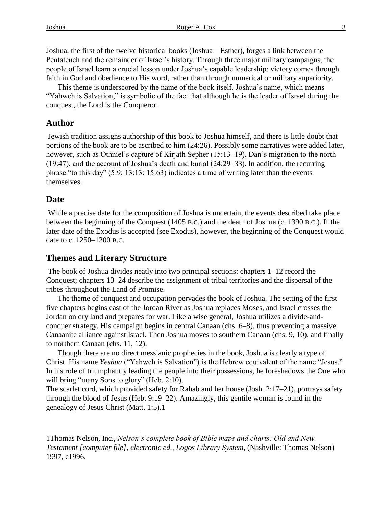Joshua, the first of the twelve historical books (Joshua—Esther), forges a link between the Pentateuch and the remainder of Israel's history. Through three major military campaigns, the people of Israel learn a crucial lesson under Joshua's capable leadership: victory comes through faith in God and obedience to His word, rather than through numerical or military superiority.

This theme is underscored by the name of the book itself. Joshua's name, which means "Yahweh is Salvation," is symbolic of the fact that although he is the leader of Israel during the conquest, the Lord is the Conqueror.

#### **Author**

Jewish tradition assigns authorship of this book to Joshua himself, and there is little doubt that portions of the book are to be ascribed to him (24:26). Possibly some narratives were added later, however, such as Othniel's capture of Kirjath Sepher (15:13–19), Dan's migration to the north (19:47), and the account of Joshua's death and burial (24:29–33). In addition, the recurring phrase "to this day"  $(5:9; 13:13; 15:63)$  indicates a time of writing later than the events themselves.

#### **Date**

l

While a precise date for the composition of Joshua is uncertain, the events described take place between the beginning of the Conquest (1405 B.C.) and the death of Joshua (c. 1390 B.C.). If the later date of the Exodus is accepted (see Exodus), however, the beginning of the Conquest would date to c. 1250–1200 B.C.

#### **Themes and Literary Structure**

The book of Joshua divides neatly into two principal sections: chapters 1–12 record the Conquest; chapters 13–24 describe the assignment of tribal territories and the dispersal of the tribes throughout the Land of Promise.

The theme of conquest and occupation pervades the book of Joshua. The setting of the first five chapters begins east of the Jordan River as Joshua replaces Moses, and Israel crosses the Jordan on dry land and prepares for war. Like a wise general, Joshua utilizes a divide-andconquer strategy. His campaign begins in central Canaan (chs. 6–8), thus preventing a massive Canaanite alliance against Israel. Then Joshua moves to southern Canaan (chs. 9, 10), and finally to northern Canaan (chs. 11, 12).

Though there are no direct messianic prophecies in the book, Joshua is clearly a type of Christ. His name *Yeshua* ("Yahweh is Salvation") is the Hebrew equivalent of the name "Jesus." In his role of triumphantly leading the people into their possessions, he foreshadows the One who will bring "many Sons to glory" (Heb. 2:10).

The scarlet cord, which provided safety for Rahab and her house (Josh. 2:17–21), portrays safety through the blood of Jesus (Heb. 9:19–22). Amazingly, this gentile woman is found in the genealogy of Jesus Christ (Matt. 1:5).1

<sup>1</sup>Thomas Nelson, Inc., *Nelson's complete book of Bible maps and charts: Old and New Testament [computer file], electronic ed., Logos Library System*, (Nashville: Thomas Nelson) 1997, c1996.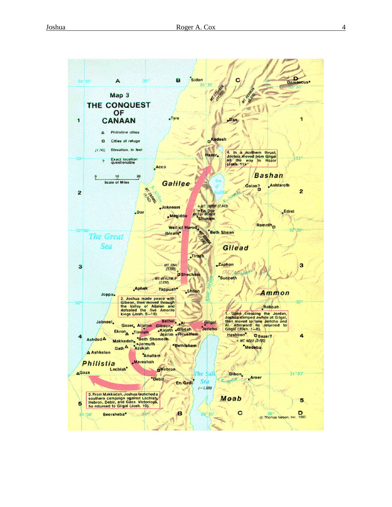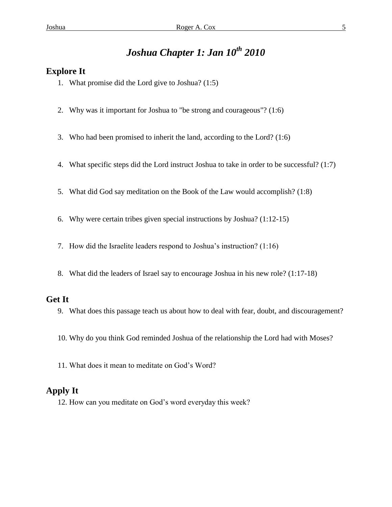## *Joshua Chapter 1: Jan 10th 2010*

#### **Explore It**

- 1. What promise did the Lord give to Joshua? (1:5)
- 2. Why was it important for Joshua to "be strong and courageous"? (1:6)
- 3. Who had been promised to inherit the land, according to the Lord? (1:6)
- 4. What specific steps did the Lord instruct Joshua to take in order to be successful? (1:7)
- 5. What did God say meditation on the Book of the Law would accomplish? (1:8)
- 6. Why were certain tribes given special instructions by Joshua? (1:12-15)
- 7. How did the Israelite leaders respond to Joshua's instruction? (1:16)
- 8. What did the leaders of Israel say to encourage Joshua in his new role? (1:17-18)

#### **Get It**

- 9. What does this passage teach us about how to deal with fear, doubt, and discouragement?
- 10. Why do you think God reminded Joshua of the relationship the Lord had with Moses?
- 11. What does it mean to meditate on God's Word?

#### **Apply It**

12. How can you meditate on God's word everyday this week?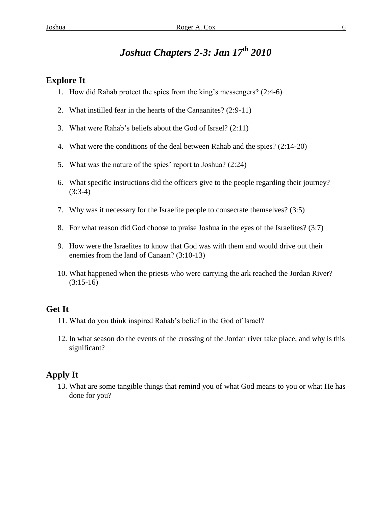## *Joshua Chapters 2-3: Jan 17th 2010*

#### **Explore It**

- 1. How did Rahab protect the spies from the king's messengers? (2:4-6)
- 2. What instilled fear in the hearts of the Canaanites? (2:9-11)
- 3. What were Rahab's beliefs about the God of Israel? (2:11)
- 4. What were the conditions of the deal between Rahab and the spies? (2:14-20)
- 5. What was the nature of the spies' report to Joshua? (2:24)
- 6. What specific instructions did the officers give to the people regarding their journey? (3:3-4)
- 7. Why was it necessary for the Israelite people to consecrate themselves? (3:5)
- 8. For what reason did God choose to praise Joshua in the eyes of the Israelites? (3:7)
- 9. How were the Israelites to know that God was with them and would drive out their enemies from the land of Canaan? (3:10-13)
- 10. What happened when the priests who were carrying the ark reached the Jordan River?  $(3:15-16)$

#### **Get It**

- 11. What do you think inspired Rahab's belief in the God of Israel?
- 12. In what season do the events of the crossing of the Jordan river take place, and why is this significant?

#### **Apply It**

13. What are some tangible things that remind you of what God means to you or what He has done for you?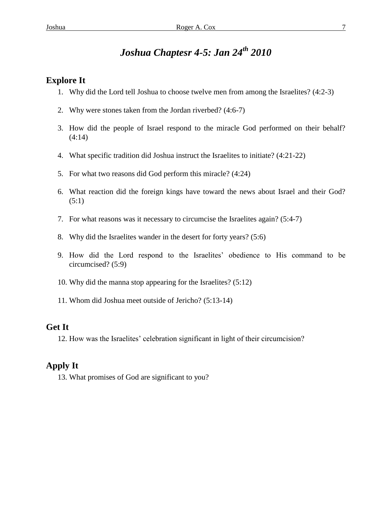## *Joshua Chaptesr 4-5: Jan 24th 2010*

#### **Explore It**

- 1. Why did the Lord tell Joshua to choose twelve men from among the Israelites? (4:2-3)
- 2. Why were stones taken from the Jordan riverbed? (4:6-7)
- 3. How did the people of Israel respond to the miracle God performed on their behalf? (4:14)
- 4. What specific tradition did Joshua instruct the Israelites to initiate? (4:21-22)
- 5. For what two reasons did God perform this miracle? (4:24)
- 6. What reaction did the foreign kings have toward the news about Israel and their God?  $(5:1)$
- 7. For what reasons was it necessary to circumcise the Israelites again? (5:4-7)
- 8. Why did the Israelites wander in the desert for forty years? (5:6)
- 9. How did the Lord respond to the Israelites' obedience to His command to be circumcised? (5:9)
- 10. Why did the manna stop appearing for the Israelites? (5:12)
- 11. Whom did Joshua meet outside of Jericho? (5:13-14)

#### **Get It**

12. How was the Israelites' celebration significant in light of their circumcision?

#### **Apply It**

13. What promises of God are significant to you?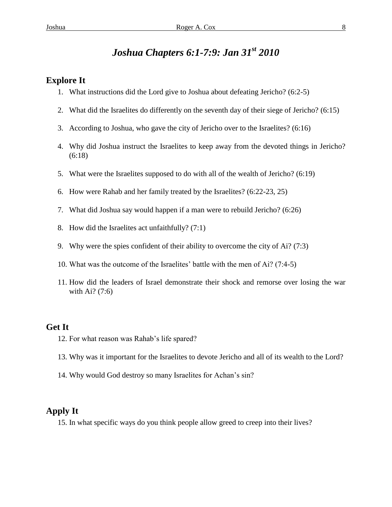### *Joshua Chapters 6:1-7:9: Jan 31st 2010*

#### **Explore It**

- 1. What instructions did the Lord give to Joshua about defeating Jericho? (6:2-5)
- 2. What did the Israelites do differently on the seventh day of their siege of Jericho? (6:15)
- 3. According to Joshua, who gave the city of Jericho over to the Israelites? (6:16)
- 4. Why did Joshua instruct the Israelites to keep away from the devoted things in Jericho? (6:18)
- 5. What were the Israelites supposed to do with all of the wealth of Jericho? (6:19)
- 6. How were Rahab and her family treated by the Israelites? (6:22-23, 25)
- 7. What did Joshua say would happen if a man were to rebuild Jericho? (6:26)
- 8. How did the Israelites act unfaithfully? (7:1)
- 9. Why were the spies confident of their ability to overcome the city of Ai? (7:3)
- 10. What was the outcome of the Israelites' battle with the men of Ai? (7:4-5)
- 11. How did the leaders of Israel demonstrate their shock and remorse over losing the war with Ai? (7:6)

#### **Get It**

- 12. For what reason was Rahab's life spared?
- 13. Why was it important for the Israelites to devote Jericho and all of its wealth to the Lord?
- 14. Why would God destroy so many Israelites for Achan's sin?

#### **Apply It**

15. In what specific ways do you think people allow greed to creep into their lives?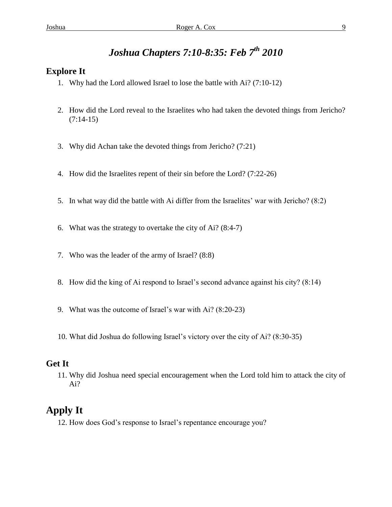## *Joshua Chapters 7:10-8:35: Feb 7th 2010*

#### **Explore It**

- 1. Why had the Lord allowed Israel to lose the battle with Ai? (7:10-12)
- 2. How did the Lord reveal to the Israelites who had taken the devoted things from Jericho?  $(7:14-15)$
- 3. Why did Achan take the devoted things from Jericho? (7:21)
- 4. How did the Israelites repent of their sin before the Lord? (7:22-26)
- 5. In what way did the battle with Ai differ from the Israelites' war with Jericho? (8:2)
- 6. What was the strategy to overtake the city of Ai? (8:4-7)
- 7. Who was the leader of the army of Israel? (8:8)
- 8. How did the king of Ai respond to Israel's second advance against his city? (8:14)
- 9. What was the outcome of Israel's war with Ai? (8:20-23)
- 10. What did Joshua do following Israel's victory over the city of Ai? (8:30-35)

#### **Get It**

11. Why did Joshua need special encouragement when the Lord told him to attack the city of Ai?

### **Apply It**

12. How does God's response to Israel's repentance encourage you?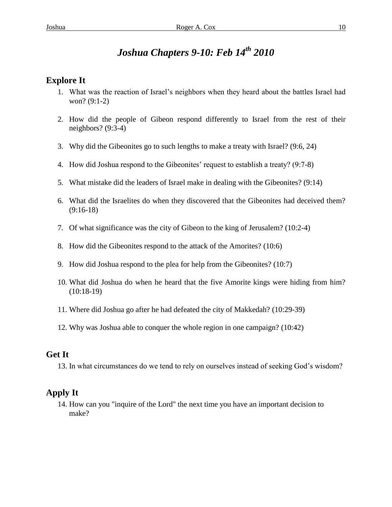## *Joshua Chapters 9-10: Feb 14th 2010*

#### **Explore It**

- 1. What was the reaction of Israel's neighbors when they heard about the battles Israel had won? (9:1-2)
- 2. How did the people of Gibeon respond differently to Israel from the rest of their neighbors? (9:3-4)
- 3. Why did the Gibeonites go to such lengths to make a treaty with Israel? (9:6, 24)
- 4. How did Joshua respond to the Gibeonites' request to establish a treaty? (9:7-8)
- 5. What mistake did the leaders of Israel make in dealing with the Gibeonites? (9:14)
- 6. What did the Israelites do when they discovered that the Gibeonites had deceived them? (9:16-18)
- 7. Of what significance was the city of Gibeon to the king of Jerusalem? (10:2-4)
- 8. How did the Gibeonites respond to the attack of the Amorites? (10:6)
- 9. How did Joshua respond to the plea for help from the Gibeonites? (10:7)
- 10. What did Joshua do when he heard that the five Amorite kings were hiding from him? (10:18-19)
- 11. Where did Joshua go after he had defeated the city of Makkedah? (10:29-39)
- 12. Why was Joshua able to conquer the whole region in one campaign? (10:42)

#### **Get It**

13. In what circumstances do we tend to rely on ourselves instead of seeking God's wisdom?

#### **Apply It**

14. How can you "inquire of the Lord" the next time you have an important decision to make?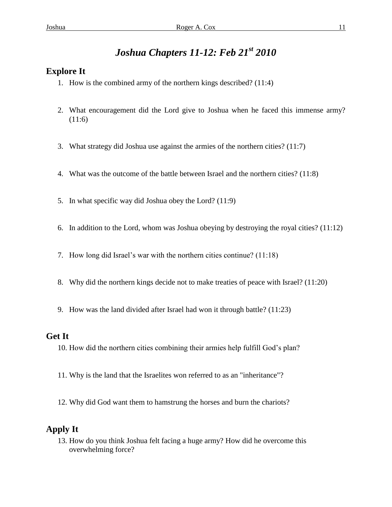## *Joshua Chapters 11-12: Feb 21st 2010*

#### **Explore It**

- 1. How is the combined army of the northern kings described? (11:4)
- 2. What encouragement did the Lord give to Joshua when he faced this immense army?  $(11:6)$
- 3. What strategy did Joshua use against the armies of the northern cities? (11:7)
- 4. What was the outcome of the battle between Israel and the northern cities? (11:8)
- 5. In what specific way did Joshua obey the Lord? (11:9)
- 6. In addition to the Lord, whom was Joshua obeying by destroying the royal cities? (11:12)
- 7. How long did Israel's war with the northern cities continue? (11:18)
- 8. Why did the northern kings decide not to make treaties of peace with Israel? (11:20)
- 9. How was the land divided after Israel had won it through battle? (11:23)

#### **Get It**

- 10. How did the northern cities combining their armies help fulfill God's plan?
- 11. Why is the land that the Israelites won referred to as an "inheritance"?
- 12. Why did God want them to hamstrung the horses and burn the chariots?

#### **Apply It**

13. How do you think Joshua felt facing a huge army? How did he overcome this overwhelming force?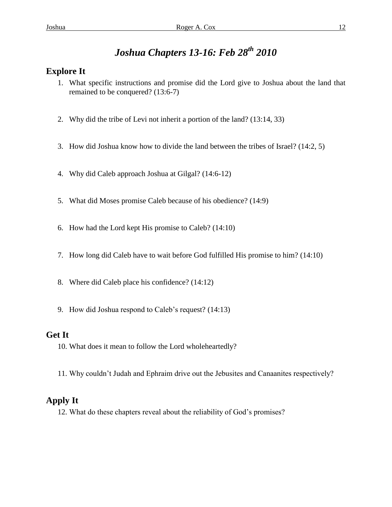## *Joshua Chapters 13-16: Feb 28th 2010*

#### **Explore It**

- 1. What specific instructions and promise did the Lord give to Joshua about the land that remained to be conquered? (13:6-7)
- 2. Why did the tribe of Levi not inherit a portion of the land? (13:14, 33)
- 3. How did Joshua know how to divide the land between the tribes of Israel? (14:2, 5)
- 4. Why did Caleb approach Joshua at Gilgal? (14:6-12)
- 5. What did Moses promise Caleb because of his obedience? (14:9)
- 6. How had the Lord kept His promise to Caleb? (14:10)
- 7. How long did Caleb have to wait before God fulfilled His promise to him? (14:10)
- 8. Where did Caleb place his confidence? (14:12)
- 9. How did Joshua respond to Caleb's request? (14:13)

#### **Get It**

- 10. What does it mean to follow the Lord wholeheartedly?
- 11. Why couldn't Judah and Ephraim drive out the Jebusites and Canaanites respectively?

### **Apply It**

12. What do these chapters reveal about the reliability of God's promises?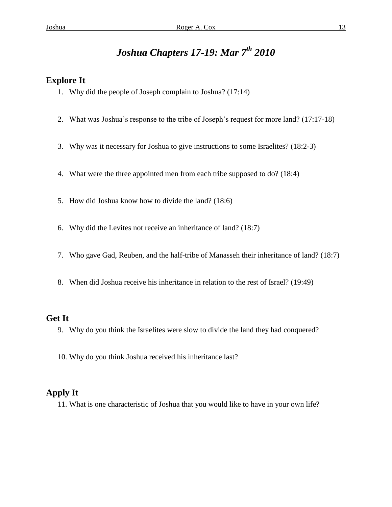## *Joshua Chapters 17-19: Mar 7th 2010*

#### **Explore It**

- 1. Why did the people of Joseph complain to Joshua? (17:14)
- 2. What was Joshua's response to the tribe of Joseph's request for more land? (17:17-18)
- 3. Why was it necessary for Joshua to give instructions to some Israelites? (18:2-3)
- 4. What were the three appointed men from each tribe supposed to do? (18:4)
- 5. How did Joshua know how to divide the land? (18:6)
- 6. Why did the Levites not receive an inheritance of land? (18:7)
- 7. Who gave Gad, Reuben, and the half-tribe of Manasseh their inheritance of land? (18:7)
- 8. When did Joshua receive his inheritance in relation to the rest of Israel? (19:49)

#### **Get It**

- 9. Why do you think the Israelites were slow to divide the land they had conquered?
- 10. Why do you think Joshua received his inheritance last?

#### **Apply It**

11. What is one characteristic of Joshua that you would like to have in your own life?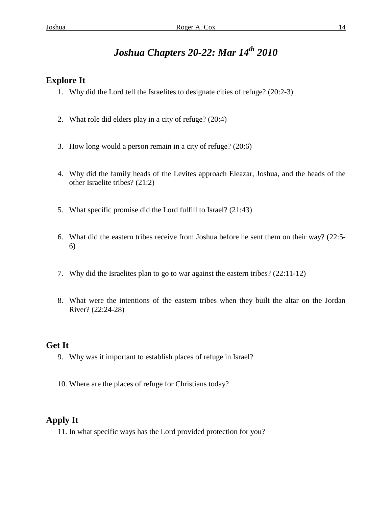## *Joshua Chapters 20-22: Mar 14th 2010*

#### **Explore It**

- 1. Why did the Lord tell the Israelites to designate cities of refuge? (20:2-3)
- 2. What role did elders play in a city of refuge? (20:4)
- 3. How long would a person remain in a city of refuge? (20:6)
- 4. Why did the family heads of the Levites approach Eleazar, Joshua, and the heads of the other Israelite tribes? (21:2)
- 5. What specific promise did the Lord fulfill to Israel? (21:43)
- 6. What did the eastern tribes receive from Joshua before he sent them on their way? (22:5- 6)
- 7. Why did the Israelites plan to go to war against the eastern tribes? (22:11-12)
- 8. What were the intentions of the eastern tribes when they built the altar on the Jordan River? (22:24-28)

#### **Get It**

- 9. Why was it important to establish places of refuge in Israel?
- 10. Where are the places of refuge for Christians today?

#### **Apply It**

11. In what specific ways has the Lord provided protection for you?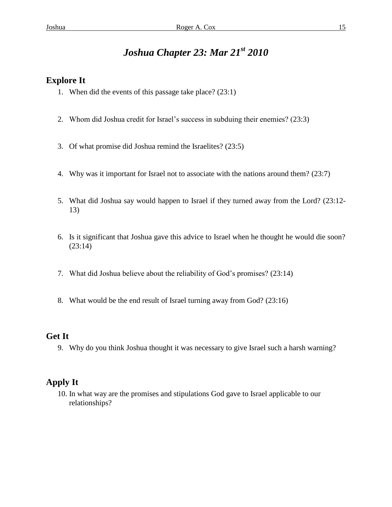## *Joshua Chapter 23: Mar 21st 2010*

#### **Explore It**

- 1. When did the events of this passage take place? (23:1)
- 2. Whom did Joshua credit for Israel's success in subduing their enemies? (23:3)
- 3. Of what promise did Joshua remind the Israelites? (23:5)
- 4. Why was it important for Israel not to associate with the nations around them? (23:7)
- 5. What did Joshua say would happen to Israel if they turned away from the Lord? (23:12- 13)
- 6. Is it significant that Joshua gave this advice to Israel when he thought he would die soon? (23:14)
- 7. What did Joshua believe about the reliability of God's promises? (23:14)
- 8. What would be the end result of Israel turning away from God? (23:16)

#### **Get It**

9. Why do you think Joshua thought it was necessary to give Israel such a harsh warning?

#### **Apply It**

10. In what way are the promises and stipulations God gave to Israel applicable to our relationships?